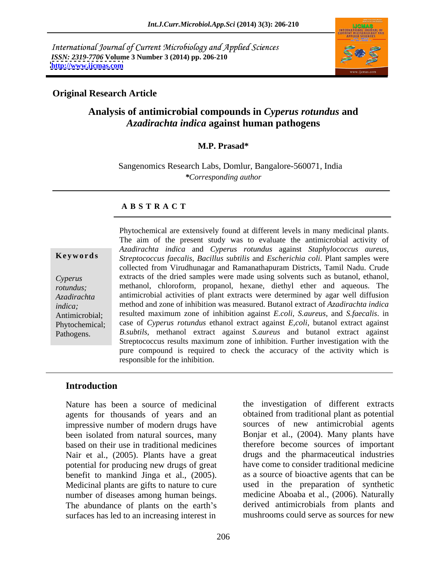International Journal of Current Microbiology and Applied Sciences *ISSN: 2319-7706* **Volume 3 Number 3 (2014) pp. 206-210 <http://www.ijcmas.com>**



## **Original Research Article**

# **Analysis of antimicrobial compounds in** *Cyperus rotundus* **and** *Azadirachta indica* **against human pathogens**

## **M.P. Prasad\***

Sangenomics Research Labs, Domlur, Bangalore-560071, India *\*Corresponding author*

### **A B S T R A C T**

**Ke ywo rds** *Streptococcus faecalis, Bacillus subtilis* and *Escherichia coli*. Plant samples were *Cyperus*  extracts of the dried samples were made using solvents such as butanol, ethanol, *rotundus;* methanol, chloroform, propanol, hexane, diethyl ether and aqueous. The *Azadirachta*  antimicrobial activities of plant extracts were determined by agar well diffusion *indica;*  method and zone of inhibition was measured. Butanol extract of *Azadirachta indica* Antimicrobial; resulted maximum zone of inhibition against *E.coli, S.aureus*, and *S.faecalis*. in Phytochemical; case of *Cyperus rotundus* ethanol extract against *E,coli*, butanol extract against Pathogens. *B.subtils*, methanol extract against *S.aureus* and butanol extract against Phytochemical are extensively found at different levels in many medicinal plants. The aim of the present study was to evaluate the antimicrobial activity of *Azadirachta indica* and *Cyperus rotundus* against *Staphylococcus aureus,* collected from Virudhunagar and Ramanathapuram Districts, Tamil Nadu. Crude Streptococcus results maximum zone of inhibition. Further investigation with the pure compound is required to check the accuracy of the activity which is responsible for the inhibition.

## **Introduction**

agents for thousands of years and an Nair et al., (2005). Plants have a great potential for producing new drugs of great benefit to mankind Jinga et al., (2005). Medicinal plants are gifts to nature to cure number of diseases among human beings. The abundance of plants on the earth's surfaces has led to an increasing interest in

Nature has been a source of medicinal the investigation of different extracts impressive number of modern drugs have sources of new antimicrobial agents been isolated from natural sources, many Bonjar et al., (2004). Many plants have based on their use in traditional medicines therefore become sources of important obtained from traditional plant as potential Bonjar et al., (2004). Many plants have drugs and the pharmaceutical industries have come to consider traditional medicine as a source of bioactive agents that can be used in the preparation of synthetic medicine Aboaba et al., (2006). Naturally derived antimicrobials from plants and mushrooms could serve as sources for new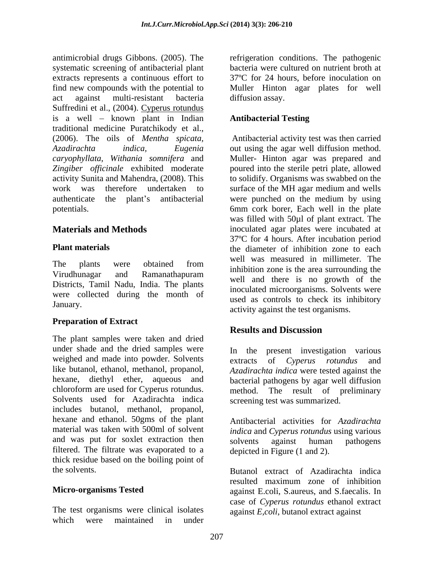antimicrobial drugs Gibbons. (2005). The refrigeration conditions. The pathogenic systematic screening of antibacterial plant extracts represents a continuous effort to find new compounds with the potential to Muller Hinton agar plates for well act against multi-resistant bacteria Suffredini et al., (2004). Cyperus rotundus is a well - known plant in Indian **Antibacterial Testing** traditional medicine Puratchikody et al., (2006). The oils of *Mentha spicata, Azadirachta indica, Eugenia* out using the agar well diffusion method. *caryophyllata, Withania somnifera* and Muller- Hinton agar was prepared and Zingiber officinale exhibited moderate poured into the sterile petri plate, allowed activity Sunita and Mahendra, (2008). This to solidify. Organisms was swabbed on the work was therefore undertaken to surface of the MH agar medium and wells authenticate the plant's antibacterial were punched on the medium by using

The plants were obtained from we went was included in infinition. Virudhunagar and Ramanathapuram and  $\frac{m}{\sqrt{m}}$  and there is no growth of the Districts, Tamil Nadu, India. The plants were collected during the month of

# **Preparation of Extract CONFIDENTIAL RESULTS AND INCONSTRUMENT RESULTS AND DISCUSSION**

The plant samples were taken and dried under shade and the dried samples were weighed and made into powder. Solvents extracts of Cyperus rotundus and like butanol, ethanol, methanol, propanol, hexane, diethyl ether, aqueous and bacterial pathogens by agar well diffusion chloroform are used for Cyperus rotundus. method. The result of preliminary Solvents used for Azadirachta indica includes butanol, methanol, propanol, hexane and ethanol. 50gms of the plant material was taken with 500ml of solvent *indica* and *Cyperus rotundus* using various and was put for soxlet extraction then solvents against human pathogens filtered. The filtrate was evaporated to a thick residue based on the boiling point of

The test organisms were clinical isolates which were maintained in under

bacteria were cultured on nutrient broth at 37ºC for 24 hours, before inoculation on diffusion assay.

## **Antibacterial Testing**

potentials. 6mm cork borer, Each well in the plate **Materials and Methods** inoculated agar plates were incubated at **Plant materials example 1** the diameter of inhibition zone to each January.<br>
activity against the test organisms. Antibacterial activity test was then carried surface of the MH agar medium and wells were punched on the medium by using was filled with 50µl of plant extract. The 37ºC for 4 hours. After incubation period well was measured in millimeter. The inhibition zone is the area surrounding the well and there is no growth of the inoculated microorganisms. Solvents were used as controls to check its inhibitory

# **Results and Discussion**

In the present investigation various extracts of *Cyperus rotundus Azadirachta indica* were tested against the screening test was summarized.

Antibacterial activities for *Azadirachta*  solvents against human pathogens depicted in Figure (1 and 2).

the solvents. Butanol extract of Azadirachta indica **Micro-organisms Tested** against E.coli, S.aureus, and S.faecalis. In resulted maximum zone of inhibition case of *Cyperus rotundus* ethanol extract against *E,coli*, butanol extract against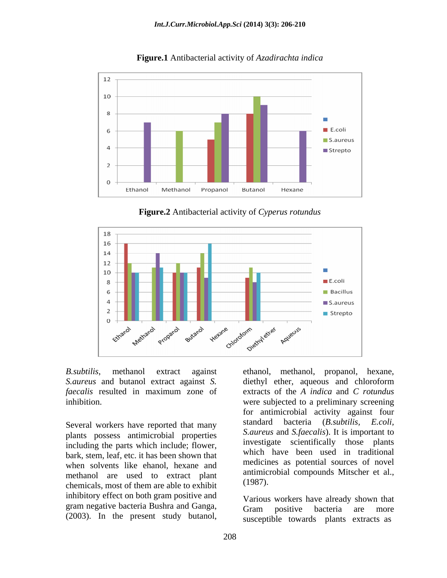

**Figure.1** Antibacterial activity of *Azadirachta indica*

 **Figure.2** Antibacterial activity of *Cyperus rotundus*



*B.subtilis*, methanol extract against *S.aureus* and butanol extract against *S.*

plants possess antimicrobial properties including the parts which include; flower, bark, stem, leaf, etc. it has been shown that when solvents like ehanol, hexane and methanol are used to extract plant antimicial and the extract of them are able to exhibit chemicals, most of them are able to exhibit inhibitory effect on both gram positive and gram negative bacteria Bushra and Ganga,<br>
Gram positive bacteria are more

*faecalis* resulted in maximum zone of extracts of the *A indica* and *C rotundus* inhibition. were subjected to a preliminary screening Several workers have reported that many standard bacteria (B.subtilis, E.coli, *B.subtilis*, methanol extract against ethanol, methanol, propanol, hexane, *S. aucrus* and chloroform *extracts* of the *A* indica and *C roturalus* infibition. Several workers of the *A* indica and *C roturalus* inf for antimicrobial activity against four standard bacteria (*B.subtilis*, *S.aureus* and *S.faecalis*). It is important to investigate scientifically those plants which have been used in traditional medicines as potential sources of novel antimicrobial compounds Mitscher et al., (1987).

Various workers have already shown that Gram positive bacteria are more susceptible towards plants extracts as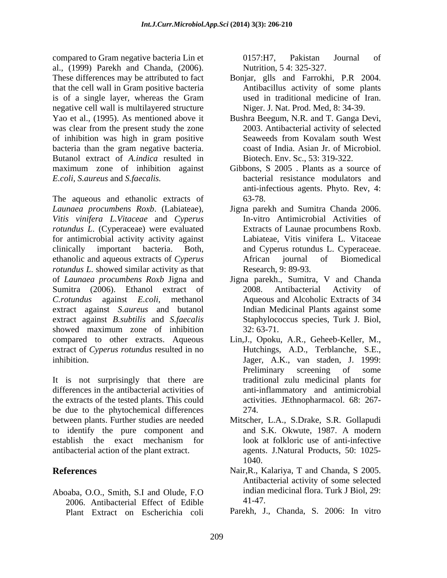compared to Gram negative bacteria Lin et al., (1999) Parekh and Chanda, (2006). These differences may be attributed to fact Bonjar, glls and Farrokhi, P.R 2004. that the cell wall in Gram positive bacteria Antibacillus activity of some plants is of a single layer, whereas the Gram negative cell wall is multilayered structure Yao et al., (1995). As mentioned above it Bushra Beegum, N.R. and T. Ganga Devi, was clear from the present study the zone of inhibition was high in gram positive bacteria than the gram negative bacteria. Butanol extract of *A.indica* resulted in maximum zone of inhibition against

The aqueous and ethanolic extracts of 63-78. *Launaea procumbens Roxb*. (Labiateae), Jigna parekh and Sumitra Chanda 2006. *Vitis vinifera L.Vitaceae* and *Cyperus rotundus L*. (Cyperaceae) were evaluated for antimicrobial activity activity against clinically important bacteria. Both, and Cyperus rotundus L. Cyperaceae. ethanolic and aqueous extracts of *Cyperus rotundus L*. showed similar activity as that of *Launaea procumbens Roxb* Jigna and Jigna parekh., Sumitra, V and Chanda Sumitra (2006). Ethanol extract of 2008. Antibacterial Activity of *C.rotundus* against *E.coli*, methanol Aqueous and Alcoholic Extracts of 34 extract against *S.aureus* and butanol extract against *B.subtilis* and *S.faecalis* showed maximum zone of inhibition 32:63-71. compared to other extracts. Aqueous Lin,J., Opoku, A.R., Geheeb-Keller, M., extract of *Cyperus rotundus* resulted in no inhibition. Jager, A.K., van staden, J. 1999:

It is not surprisingly that there are differences in the antibacterial activities of the extracts of the tested plants. This could be due to the phytochemical differences 274. between plants. Further studies are needed Mitscher, L.A., S.Drake, S.R. Gollapudi to identify the pure component and and S.K. Okwute, 1987. A modern establish the exact mechanism for antibacterial action of the plant extract. agents. J.Natural Products, 50: 1025-

2006. Antibacterial Effect of Edible Plant Extract on Escherichia coli

0157:H7, Pakistan Journal of Nutrition, 5 4: 325-327.

- used in traditional medicine of Iran. Niger. J. Nat. Prod. Med, 8: 34-39.
- 2003. Antibacterial activity of selected Seaweeds from Kovalam south West coast of India. Asian Jr. of Microbiol. Biotech. Env. Sc., 53: 319-322.
- *E.coli, S.aureus* and *S.faecalis.* bacterial resistance modulators and Gibbons, S 2005 . Plants as a source of anti-infectious agents. Phyto. Rev, 4: 63-78.
	- In-vitro Antimicrobial Activities of Extracts of Launae procumbens Roxb. Labiateae, Vitis vinifera L. Vitaceae African journal of Biomedical Research, 9: 89-93.
	- 2008. Antibacterial Activity of Indian Medicinal Plants against some Staphylococcus species, Turk J. Biol, 32: 63-71.
	- Hutchings, A.D., Terblanche, S.E., Preliminary screening of some traditional zulu medicinal plants for anti-inflammatory and antimicrobial activities. JEthnopharmacol. 68: 267- 274.
	- and S.K. Okwute, 1987. A modern look at folkloric use of anti-infective 1040.
- **References** Nair,R., Kalariya, T and Chanda, S 2005. Aboaba, O.O., Smith, S.I and Olude, F.O Antibacterial activity of some selected indian medicinal flora. Turk J Biol, 29: 41-47.
	- Parekh, J., Chanda, S. 2006: In vitro